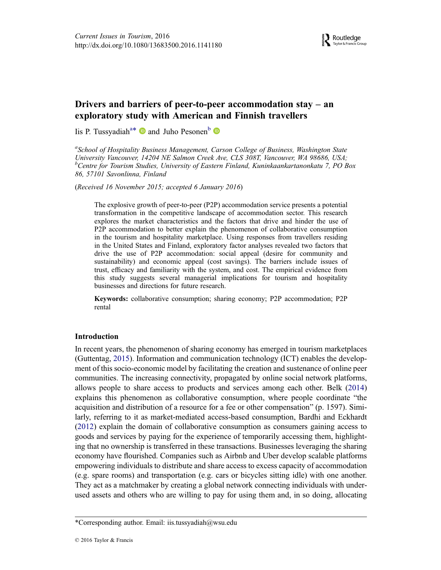# Drivers and barriers of peer-to-peer accommodation stay – an exploratory study with American and Finnish travellers

Iis P. Tussyadiah<sup>a\*</sup> **D** and Juho Pesonen<sup>b</sup>

<sup>a</sup> School of Hospitality Business Management, Carson College of Business, Washington State University Vancouver, 14204 NE Salmon Creek Ave, CLS 308T, Vancouver, WA 98686, USA; <sup>b</sup>Centre for Tourism Studies, University of Eastern Finland, Kuninkaankartanonkatu 7, PO Box 86, 57101 Savonlinna, Finland

(Received 16 November 2015; accepted 6 January 2016)

The explosive growth of peer-to-peer (P2P) accommodation service presents a potential transformation in the competitive landscape of accommodation sector. This research explores the market characteristics and the factors that drive and hinder the use of P2P accommodation to better explain the phenomenon of collaborative consumption in the tourism and hospitality marketplace. Using responses from travellers residing in the United States and Finland, exploratory factor analyses revealed two factors that drive the use of P2P accommodation: social appeal (desire for community and sustainability) and economic appeal (cost savings). The barriers include issues of trust, efficacy and familiarity with the system, and cost. The empirical evidence from this study suggests several managerial implications for tourism and hospitality businesses and directions for future research.

Keywords: collaborative consumption; sharing economy; P2P accommodation; P2P rental

# Introduction

In recent years, the phenomenon of sharing economy has emerged in tourism marketplaces (Guttentag, 2015). Information and communication technology (ICT) enables the development of this socio-economic model by facilitating the creation and sustenance of online peer communities. The increasing connectivity, propagated by online social network platforms, allows people to share access to products and services among each other. Belk (2014) explains this phenomenon as collaborative consumption, where people coordinate "the acquisition and distribution of a resource for a fee or other compensation" (p. 1597). Similarly, referring to it as market-mediated access-based consumption, Bardhi and Eckhardt (2012) explain the domain of collaborative consumption as consumers gaining access to goods and services by paying for the experience of temporarily accessing them, highlighting that no ownership is transferred in these transactions. Businesses leveraging the sharing economy have flourished. Companies such as Airbnb and Uber develop scalable platforms empowering individuals to distribute and share access to excess capacity of accommodation (e.g. spare rooms) and transportation (e.g. cars or bicycles sitting idle) with one another. They act as a matchmaker by creating a global network connecting individuals with underused assets and others who are willing to pay for using them and, in so doing, allocating

<sup>\*</sup>Corresponding author. Email: iis.tussyadiah@wsu.edu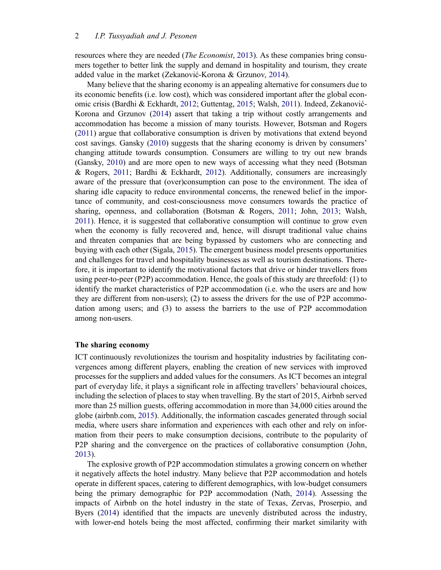resources where they are needed (*The Economist*, 2013). As these companies bring consumers together to better link the supply and demand in hospitality and tourism, they create added value in the market (Zekanović-Korona & Grzunov, 2014).

Many believe that the sharing economy is an appealing alternative for consumers due to its economic benefits (i.e. low cost), which was considered important after the global economic crisis (Bardhi & Eckhardt, 2012; Guttentag, 2015; Walsh, 2011). Indeed, Zekanović-Korona and Grzunov (2014) assert that taking a trip without costly arrangements and accommodation has become a mission of many tourists. However, Botsman and Rogers (2011) argue that collaborative consumption is driven by motivations that extend beyond cost savings. Gansky (2010) suggests that the sharing economy is driven by consumers' changing attitude towards consumption. Consumers are willing to try out new brands (Gansky, 2010) and are more open to new ways of accessing what they need (Botsman & Rogers, 2011; Bardhi & Eckhardt, 2012). Additionally, consumers are increasingly aware of the pressure that (over)consumption can pose to the environment. The idea of sharing idle capacity to reduce environmental concerns, the renewed belief in the importance of community, and cost-consciousness move consumers towards the practice of sharing, openness, and collaboration (Botsman & Rogers, 2011; John, 2013; Walsh, 2011). Hence, it is suggested that collaborative consumption will continue to grow even when the economy is fully recovered and, hence, will disrupt traditional value chains and threaten companies that are being bypassed by customers who are connecting and buying with each other (Sigala, 2015). The emergent business model presents opportunities and challenges for travel and hospitality businesses as well as tourism destinations. Therefore, it is important to identify the motivational factors that drive or hinder travellers from using peer-to-peer (P2P) accommodation. Hence, the goals of this study are threefold: (1) to identify the market characteristics of P2P accommodation (i.e. who the users are and how they are different from non-users); (2) to assess the drivers for the use of P2P accommodation among users; and (3) to assess the barriers to the use of P2P accommodation among non-users.

### The sharing economy

ICT continuously revolutionizes the tourism and hospitality industries by facilitating convergences among different players, enabling the creation of new services with improved processes for the suppliers and added values for the consumers. As ICT becomes an integral part of everyday life, it plays a significant role in affecting travellers' behavioural choices, including the selection of places to stay when travelling. By the start of 2015, Airbnb served more than 25 million guests, offering accommodation in more than 34,000 cities around the globe (airbnb.com, 2015). Additionally, the information cascades generated through social media, where users share information and experiences with each other and rely on information from their peers to make consumption decisions, contribute to the popularity of P2P sharing and the convergence on the practices of collaborative consumption (John, 2013).

The explosive growth of P2P accommodation stimulates a growing concern on whether it negatively affects the hotel industry. Many believe that P2P accommodation and hotels operate in different spaces, catering to different demographics, with low-budget consumers being the primary demographic for P2P accommodation (Nath, 2014). Assessing the impacts of Airbnb on the hotel industry in the state of Texas, Zervas, Proserpio, and Byers (2014) identified that the impacts are unevenly distributed across the industry, with lower-end hotels being the most affected, confirming their market similarity with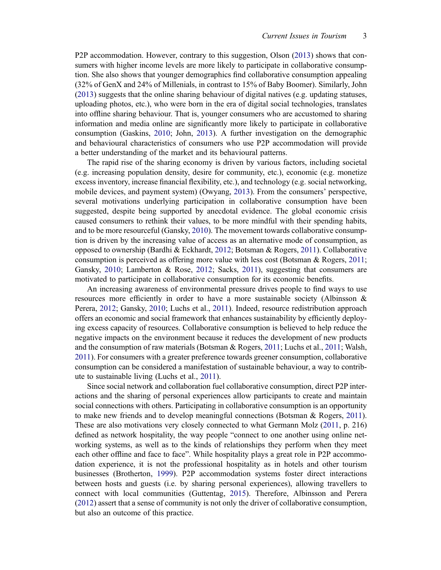P2P accommodation. However, contrary to this suggestion, Olson (2013) shows that consumers with higher income levels are more likely to participate in collaborative consumption. She also shows that younger demographics find collaborative consumption appealing (32% of GenX and 24% of Millenials, in contrast to 15% of Baby Boomer). Similarly, John (2013) suggests that the online sharing behaviour of digital natives (e.g. updating statuses, uploading photos, etc.), who were born in the era of digital social technologies, translates into offline sharing behaviour. That is, younger consumers who are accustomed to sharing information and media online are significantly more likely to participate in collaborative consumption (Gaskins, 2010; John, 2013). A further investigation on the demographic and behavioural characteristics of consumers who use P2P accommodation will provide a better understanding of the market and its behavioural patterns.

The rapid rise of the sharing economy is driven by various factors, including societal (e.g. increasing population density, desire for community, etc.), economic (e.g. monetize excess inventory, increase financial flexibility, etc.), and technology (e.g. social networking, mobile devices, and payment system) (Owyang, 2013). From the consumers' perspective, several motivations underlying participation in collaborative consumption have been suggested, despite being supported by anecdotal evidence. The global economic crisis caused consumers to rethink their values, to be more mindful with their spending habits, and to be more resourceful (Gansky, 2010). The movement towards collaborative consumption is driven by the increasing value of access as an alternative mode of consumption, as opposed to ownership (Bardhi & Eckhardt, 2012; Botsman & Rogers, 2011). Collaborative consumption is perceived as offering more value with less cost (Botsman & Rogers, 2011; Gansky, 2010; Lamberton & Rose, 2012; Sacks, 2011), suggesting that consumers are motivated to participate in collaborative consumption for its economic benefits.

An increasing awareness of environmental pressure drives people to find ways to use resources more efficiently in order to have a more sustainable society (Albinsson & Perera, 2012; Gansky, 2010; Luchs et al., 2011). Indeed, resource redistribution approach offers an economic and social framework that enhances sustainability by efficiently deploying excess capacity of resources. Collaborative consumption is believed to help reduce the negative impacts on the environment because it reduces the development of new products and the consumption of raw materials (Botsman & Rogers, 2011; Luchs et al., 2011; Walsh, 2011). For consumers with a greater preference towards greener consumption, collaborative consumption can be considered a manifestation of sustainable behaviour, a way to contribute to sustainable living (Luchs et al., 2011).

Since social network and collaboration fuel collaborative consumption, direct P2P interactions and the sharing of personal experiences allow participants to create and maintain social connections with others. Participating in collaborative consumption is an opportunity to make new friends and to develop meaningful connections (Botsman & Rogers, 2011). These are also motivations very closely connected to what Germann Molz (2011, p. 216) defined as network hospitality, the way people "connect to one another using online networking systems, as well as to the kinds of relationships they perform when they meet each other offline and face to face". While hospitality plays a great role in P2P accommodation experience, it is not the professional hospitality as in hotels and other tourism businesses (Brotherton, 1999). P2P accommodation systems foster direct interactions between hosts and guests (i.e. by sharing personal experiences), allowing travellers to connect with local communities (Guttentag, 2015). Therefore, Albinsson and Perera (2012) assert that a sense of community is not only the driver of collaborative consumption, but also an outcome of this practice.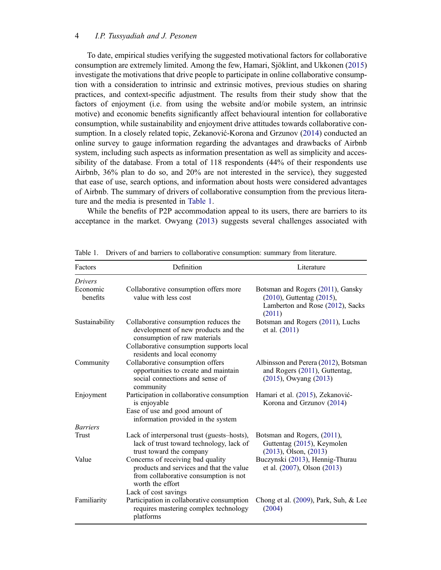### 4 I.P. Tussyadiah and J. Pesonen

To date, empirical studies verifying the suggested motivational factors for collaborative consumption are extremely limited. Among the few, Hamari, Sjöklint, and Ukkonen (2015) investigate the motivations that drive people to participate in online collaborative consumption with a consideration to intrinsic and extrinsic motives, previous studies on sharing practices, and context-specific adjustment. The results from their study show that the factors of enjoyment (i.e. from using the website and/or mobile system, an intrinsic motive) and economic benefits significantly affect behavioural intention for collaborative consumption, while sustainability and enjoyment drive attitudes towards collaborative consumption. In a closely related topic, Zekanović-Korona and Grzunov (2014) conducted an online survey to gauge information regarding the advantages and drawbacks of Airbnb system, including such aspects as information presentation as well as simplicity and accessibility of the database. From a total of 118 respondents (44% of their respondents use Airbnb, 36% plan to do so, and 20% are not interested in the service), they suggested that ease of use, search options, and information about hosts were considered advantages of Airbnb. The summary of drivers of collaborative consumption from the previous literature and the media is presented in Table 1.

While the benefits of P2P accommodation appeal to its users, there are barriers to its acceptance in the market. Owyang (2013) suggests several challenges associated with

| Factors              | Definition                                                                                                                                                         | Literature                                                                                                   |
|----------------------|--------------------------------------------------------------------------------------------------------------------------------------------------------------------|--------------------------------------------------------------------------------------------------------------|
| <i>Drivers</i>       |                                                                                                                                                                    |                                                                                                              |
| Economic<br>benefits | Collaborative consumption offers more<br>value with less cost                                                                                                      | Botsman and Rogers (2011), Gansky<br>(2010), Guttentag (2015),<br>Lamberton and Rose (2012), Sacks<br>(2011) |
| Sustainability       | Collaborative consumption reduces the<br>development of new products and the<br>consumption of raw materials<br>Collaborative consumption supports local           | Botsman and Rogers (2011), Luchs<br>et al. (2011)                                                            |
|                      | residents and local economy                                                                                                                                        |                                                                                                              |
| Community            | Collaborative consumption offers<br>opportunities to create and maintain<br>social connections and sense of<br>community                                           | Albinsson and Perera (2012), Botsman<br>and Rogers (2011), Guttentag,<br>$(2015)$ , Owyang $(2013)$          |
| Enjoyment            | Participation in collaborative consumption<br>is enjoyable                                                                                                         | Hamari et al. (2015), Zekanović-<br>Korona and Grzunov (2014)                                                |
|                      | Ease of use and good amount of<br>information provided in the system                                                                                               |                                                                                                              |
| <b>Barriers</b>      |                                                                                                                                                                    |                                                                                                              |
| Trust                | Lack of interpersonal trust (guests–hosts),<br>lack of trust toward technology, lack of<br>trust toward the company                                                | Botsman and Rogers, (2011),<br>Guttentag (2015), Keymolen<br>$(2013)$ , Olson, $(2013)$                      |
| Value                | Concerns of receiving bad quality<br>products and services and that the value<br>from collaborative consumption is not<br>worth the effort<br>Lack of cost savings | Buczynski (2013), Hennig-Thurau<br>et al. (2007), Olson (2013)                                               |
| Familiarity          | Participation in collaborative consumption<br>requires mastering complex technology<br>platforms                                                                   | Chong et al. $(2009)$ , Park, Suh, & Lee<br>(2004)                                                           |

Table 1. Drivers of and barriers to collaborative consumption: summary from literature.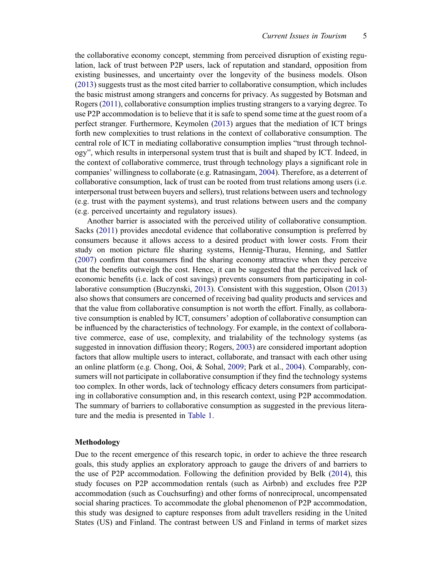the collaborative economy concept, stemming from perceived disruption of existing regulation, lack of trust between P2P users, lack of reputation and standard, opposition from existing businesses, and uncertainty over the longevity of the business models. Olson (2013) suggests trust as the most cited barrier to collaborative consumption, which includes the basic mistrust among strangers and concerns for privacy. As suggested by Botsman and Rogers (2011), collaborative consumption implies trusting strangers to a varying degree. To use P2P accommodation is to believe that it is safe to spend some time at the guest room of a perfect stranger. Furthermore, Keymolen (2013) argues that the mediation of ICT brings forth new complexities to trust relations in the context of collaborative consumption. The central role of ICT in mediating collaborative consumption implies "trust through technology", which results in interpersonal system trust that is built and shaped by ICT. Indeed, in the context of collaborative commerce, trust through technology plays a significant role in companies' willingness to collaborate (e.g. Ratnasingam, 2004). Therefore, as a deterrent of collaborative consumption, lack of trust can be rooted from trust relations among users (i.e. interpersonal trust between buyers and sellers), trust relations between users and technology (e.g. trust with the payment systems), and trust relations between users and the company (e.g. perceived uncertainty and regulatory issues).

Another barrier is associated with the perceived utility of collaborative consumption. Sacks (2011) provides anecdotal evidence that collaborative consumption is preferred by consumers because it allows access to a desired product with lower costs. From their study on motion picture file sharing systems, Hennig-Thurau, Henning, and Sattler (2007) confirm that consumers find the sharing economy attractive when they perceive that the benefits outweigh the cost. Hence, it can be suggested that the perceived lack of economic benefits (i.e. lack of cost savings) prevents consumers from participating in collaborative consumption (Buczynski, 2013). Consistent with this suggestion, Olson (2013) also shows that consumers are concerned of receiving bad quality products and services and that the value from collaborative consumption is not worth the effort. Finally, as collaborative consumption is enabled by ICT, consumers' adoption of collaborative consumption can be influenced by the characteristics of technology. For example, in the context of collaborative commerce, ease of use, complexity, and trialability of the technology systems (as suggested in innovation diffusion theory; Rogers, 2003) are considered important adoption factors that allow multiple users to interact, collaborate, and transact with each other using an online platform (e.g. Chong, Ooi, & Sohal, 2009; Park et al., 2004). Comparably, consumers will not participate in collaborative consumption if they find the technology systems too complex. In other words, lack of technology efficacy deters consumers from participating in collaborative consumption and, in this research context, using P2P accommodation. The summary of barriers to collaborative consumption as suggested in the previous literature and the media is presented in Table 1.

# Methodology

Due to the recent emergence of this research topic, in order to achieve the three research goals, this study applies an exploratory approach to gauge the drivers of and barriers to the use of P2P accommodation. Following the definition provided by Belk (2014), this study focuses on P2P accommodation rentals (such as Airbnb) and excludes free P2P accommodation (such as Couchsurfing) and other forms of nonreciprocal, uncompensated social sharing practices. To accommodate the global phenomenon of P2P accommodation, this study was designed to capture responses from adult travellers residing in the United States (US) and Finland. The contrast between US and Finland in terms of market sizes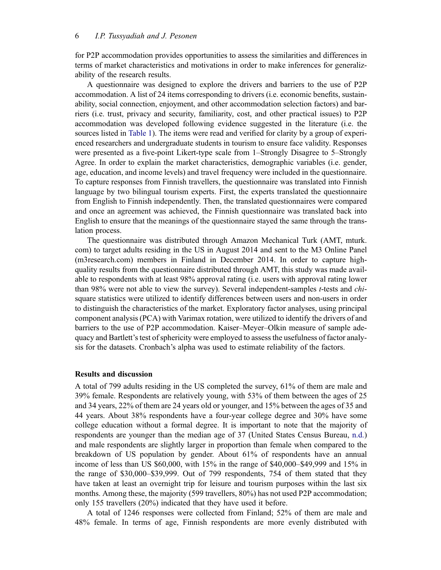for P2P accommodation provides opportunities to assess the similarities and differences in terms of market characteristics and motivations in order to make inferences for generalizability of the research results.

A questionnaire was designed to explore the drivers and barriers to the use of P2P accommodation. A list of 24 items corresponding to drivers (i.e. economic benefits, sustainability, social connection, enjoyment, and other accommodation selection factors) and barriers (i.e. trust, privacy and security, familiarity, cost, and other practical issues) to P2P accommodation was developed following evidence suggested in the literature (i.e. the sources listed in Table 1). The items were read and verified for clarity by a group of experienced researchers and undergraduate students in tourism to ensure face validity. Responses were presented as a five-point Likert-type scale from 1–Strongly Disagree to 5–Strongly Agree. In order to explain the market characteristics, demographic variables (i.e. gender, age, education, and income levels) and travel frequency were included in the questionnaire. To capture responses from Finnish travellers, the questionnaire was translated into Finnish language by two bilingual tourism experts. First, the experts translated the questionnaire from English to Finnish independently. Then, the translated questionnaires were compared and once an agreement was achieved, the Finnish questionnaire was translated back into English to ensure that the meanings of the questionnaire stayed the same through the translation process.

The questionnaire was distributed through Amazon Mechanical Turk (AMT, mturk. com) to target adults residing in the US in August 2014 and sent to the M3 Online Panel (m3research.com) members in Finland in December 2014. In order to capture highquality results from the questionnaire distributed through AMT, this study was made available to respondents with at least 98% approval rating (i.e. users with approval rating lower than 98% were not able to view the survey). Several independent-samples *t*-tests and *chi*square statistics were utilized to identify differences between users and non-users in order to distinguish the characteristics of the market. Exploratory factor analyses, using principal component analysis (PCA) with Varimax rotation, were utilized to identify the drivers of and barriers to the use of P2P accommodation. Kaiser–Meyer–Olkin measure of sample adequacy and Bartlett's test of sphericity were employed to assess the usefulness of factor analysis for the datasets. Cronbach's alpha was used to estimate reliability of the factors.

#### Results and discussion

A total of 799 adults residing in the US completed the survey, 61% of them are male and 39% female. Respondents are relatively young, with 53% of them between the ages of 25 and 34 years, 22% of them are 24 years old or younger, and 15% between the ages of 35 and 44 years. About 38% respondents have a four-year college degree and 30% have some college education without a formal degree. It is important to note that the majority of respondents are younger than the median age of 37 (United States Census Bureau, n.d.) and male respondents are slightly larger in proportion than female when compared to the breakdown of US population by gender. About 61% of respondents have an annual income of less than US \$60,000, with 15% in the range of \$40,000–\$49,999 and 15% in the range of \$30,000–\$39,999. Out of 799 respondents, 754 of them stated that they have taken at least an overnight trip for leisure and tourism purposes within the last six months. Among these, the majority (599 travellers, 80%) has not used P2P accommodation; only 155 travellers (20%) indicated that they have used it before.

A total of 1246 responses were collected from Finland; 52% of them are male and 48% female. In terms of age, Finnish respondents are more evenly distributed with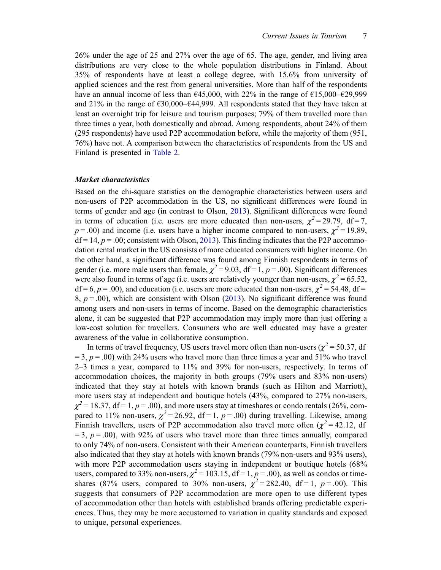26% under the age of 25 and 27% over the age of 65. The age, gender, and living area distributions are very close to the whole population distributions in Finland. About 35% of respondents have at least a college degree, with 15.6% from university of applied sciences and the rest from general universities. More than half of the respondents have an annual income of less than  $645,000$ , with 22% in the range of  $615,000$ – $629,999$ and 21% in the range of  $\epsilon$ 30,000– $\epsilon$ 44,999. All respondents stated that they have taken at least an overnight trip for leisure and tourism purposes; 79% of them travelled more than three times a year, both domestically and abroad. Among respondents, about 24% of them (295 respondents) have used P2P accommodation before, while the majority of them (951, 76%) have not. A comparison between the characteristics of respondents from the US and Finland is presented in Table 2.

# Market characteristics

Based on the chi-square statistics on the demographic characteristics between users and non-users of P2P accommodation in the US, no significant differences were found in terms of gender and age (in contrast to Olson, 2013). Significant differences were found in terms of education (i.e. users are more educated than non-users,  $\chi^2 = 29.79$ , df = 7,  $p = .00$ ) and income (i.e. users have a higher income compared to non-users,  $\chi^2 = 19.89$ ,  $df = 14$ ,  $p = .00$ ; consistent with Olson, 2013). This finding indicates that the P2P accommodation rental market in the US consists of more educated consumers with higher income. On the other hand, a significant difference was found among Finnish respondents in terms of gender (i.e. more male users than female,  $\chi^2 = 9.03$ , df = 1, p = .00). Significant differences were also found in terms of age (i.e. users are relatively younger than non-users,  $\chi^2$  = 65.52,  $df = 6, p = .00$ , and education (i.e. users are more educated than non-users,  $\chi^2 = 54.48$ , df 8,  $p = .00$ ), which are consistent with Olson (2013). No significant difference was found among users and non-users in terms of income. Based on the demographic characteristics alone, it can be suggested that P2P accommodation may imply more than just offering a low-cost solution for travellers. Consumers who are well educated may have a greater awareness of the value in collaborative consumption.

In terms of travel frequency, US users travel more often than non-users ( $\chi^2$  = 50.37, df  $= 3, p = .00$ ) with 24% users who travel more than three times a year and 51% who travel 2–3 times a year, compared to 11% and 39% for non-users, respectively. In terms of accommodation choices, the majority in both groups (79% users and 83% non-users) indicated that they stay at hotels with known brands (such as Hilton and Marriott), more users stay at independent and boutique hotels (43%, compared to 27% non-users,  $\chi^2$  = 18.37, df = 1, p = .00), and more users stay at timeshares or condo rentals (26%, compared to 11% non-users,  $\chi^2$  = 26.92, df = 1, p = .00) during travelling. Likewise, among Finnish travellers, users of P2P accommodation also travel more often  $(\chi^2 = 42.12, df)$  $= 3, p = .00$ , with 92% of users who travel more than three times annually, compared to only 74% of non-users. Consistent with their American counterparts, Finnish travellers also indicated that they stay at hotels with known brands (79% non-users and 93% users), with more P2P accommodation users staying in independent or boutique hotels (68% users, compared to 33% non-users,  $\chi^2$  = 103.15, df = 1, p = .00), as well as condos or timeshares (87% users, compared to 30% non-users,  $\chi^2 = 282.40$ , df = 1, p = .00). This suggests that consumers of P2P accommodation are more open to use different types of accommodation other than hotels with established brands offering predictable experiences. Thus, they may be more accustomed to variation in quality standards and exposed to unique, personal experiences.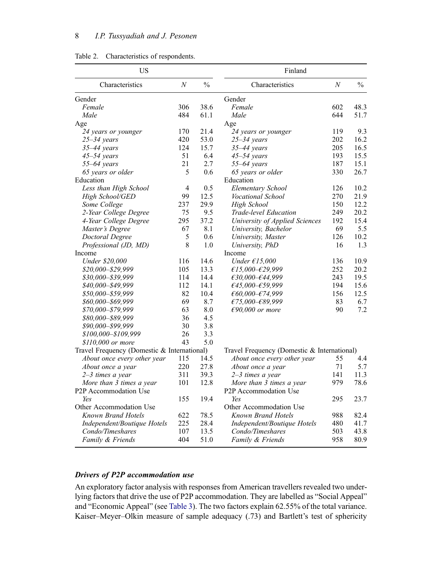| <b>US</b>                                   |          |               | Finland                                     |          |               |  |
|---------------------------------------------|----------|---------------|---------------------------------------------|----------|---------------|--|
| Characteristics                             | $\cal N$ | $\frac{0}{0}$ | Characteristics                             | $\cal N$ | $\frac{0}{0}$ |  |
| Gender                                      |          |               | Gender                                      |          |               |  |
| Female                                      | 306      | 38.6          | Female                                      | 602      | 48.3          |  |
| Male                                        | 484      | 61.1          | Male                                        | 644      | 51.7          |  |
| Age                                         |          |               | Age                                         |          |               |  |
| 24 years or younger                         | 170      | 21.4          | 24 years or younger                         | 119      | 9.3           |  |
| $25 - 34$ years                             | 420      | 53.0          | $25 - 34$ years                             | 202      | 16.2          |  |
| $35 - 44$ years                             | 124      | 15.7          | $35 - 44$ years                             | 205      | 16.5          |  |
| $45 - 54$ years                             | 51       | 6.4           | $45 - 54$ years                             | 193      | 15.5          |  |
| $55-64$ years                               | 21       | 2.7           | $55-64$ years                               | 187      | 15.1          |  |
| 65 years or older                           | 5        | 0.6           | 65 years or older                           | 330      | 26.7          |  |
| Education                                   |          |               | Education                                   |          |               |  |
| Less than High School                       | 4        | 0.5           | <b>Elementary School</b>                    | 126      | 10.2          |  |
| High School/GED                             | 99       | 12.5          | Vocational School                           | 270      | 21.9          |  |
| Some College                                | 237      | 29.9          | High School                                 | 150      | 12.2          |  |
| 2-Year College Degree                       | 75       | 9.5           | Trade-level Education                       | 249      | 20.2          |  |
| 4-Year College Degree                       | 295      | 37.2          | University of Applied Sciences              | 192      | 15.4          |  |
| Master's Degree                             | 67       | 8.1           | University, Bachelor                        | 69       | 5.5           |  |
| Doctoral Degree                             | 5        | 0.6           | University, Master                          | 126      | 10.2          |  |
| Professional (JD, MD)                       | 8        | 1.0           | University, PhD                             | 16       | 1.3           |  |
| Income                                      |          |               | Income                                      |          |               |  |
| Under \$20,000                              | 116      | 14.6          | Under $£15,000$                             | 136      | 10.9          |  |
| \$20,000-\$29,999                           | 105      | 13.3          | €15,000-€29,999                             | 252      | 20.2          |  |
| \$30,000-\$39,999                           | 114      | 14.4          | €30,000-€44,999                             | 243      | 19.5          |  |
| \$40,000-\$49,999                           | 112      | 14.1          | €45,000-€59,999                             | 194      | 15.6          |  |
| \$50,000-\$59,999                           | 82       | 10.4          | €60,000-€74,999                             | 156      | 12.5          |  |
| \$60,000-\$69,999                           | 69       | 8.7           | €75,000-€89,999                             | 83       | 6.7           |  |
| \$70,000-\$79,999                           | 63       | 8.0           | $£90,000$ or more                           | 90       | 7.2           |  |
| \$80,000-\$89,999                           | 36       | 4.5           |                                             |          |               |  |
| \$90,000-\$99,999                           | 30       | 3.8           |                                             |          |               |  |
| \$100,000-\$109,999                         | 26       | 3.3           |                                             |          |               |  |
| \$110,000 or more                           | 43       | 5.0           |                                             |          |               |  |
| Travel Frequency (Domestic & International) |          |               | Travel Frequency (Domestic & International) |          |               |  |
| About once every other year                 | 115      | 14.5          | About once every other year                 | 55       | 4.4           |  |
| About once a year                           | 220      | 27.8          | About once a year                           | 71       | 5.7           |  |
| $2-3$ times a year                          | 311      | 39.3          | 2-3 times a year                            | 141      | 11.3          |  |
| More than 3 times a year                    | 101      | 12.8          | More than 3 times a year                    | 979      | 78.6          |  |
| P2P Accommodation Use                       |          |               | P <sub>2</sub> P Accommodation Use          |          |               |  |
| Yes                                         | 155      | 19.4          | Yes                                         | 295      | 23.7          |  |
| Other Accommodation Use                     |          |               | Other Accommodation Use                     |          |               |  |
| <b>Known Brand Hotels</b>                   | 622      | 78.5          | Known Brand Hotels                          | 988      | 82.4          |  |
| Independent/Boutique Hotels                 | 225      | 28.4          | Independent/Boutique Hotels                 | 480      | 41.7          |  |
| Condo/Timeshares                            | 107      | 13.5          | Condo/Timeshares                            | 503      | 43.8          |  |
| Family & Friends                            | 404      | 51.0          | Family & Friends                            | 958      | 80.9          |  |

Table 2. Characteristics of respondents.

# Drivers of P2P accommodation use

An exploratory factor analysis with responses from American travellers revealed two underlying factors that drive the use of P2P accommodation. They are labelled as "Social Appeal" and "Economic Appeal" (see Table 3). The two factors explain 62.55% of the total variance. Kaiser–Meyer–Olkin measure of sample adequacy (.73) and Bartlett's test of sphericity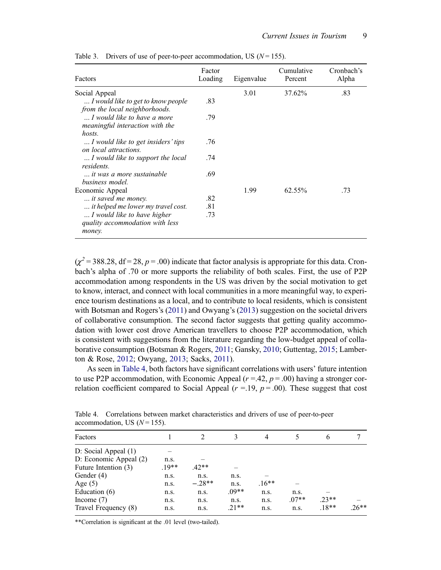| Factors                                                                                                   | Factor<br>Loading | Eigenvalue | Cumulative<br>Percent | Cronbach's<br>Alpha |
|-----------------------------------------------------------------------------------------------------------|-------------------|------------|-----------------------|---------------------|
| Social Appeal                                                                                             |                   | 3.01       | 37.62%                | .83                 |
| I would like to get to know people.                                                                       | .83               |            |                       |                     |
| from the local neighborhoods.<br>I would like to have a more<br>meaningful interaction with the<br>hosts. | .79               |            |                       |                     |
| I would like to get insiders' tips<br>on local attractions.                                               | .76               |            |                       |                     |
| I would like to support the local<br>residents.                                                           | .74               |            |                       |                     |
| it was a more sustainable<br>business model.                                                              | .69               |            |                       |                     |
| Economic Appeal                                                                                           |                   | 1.99       | 62.55%                | .73                 |
| it saved me money.                                                                                        | .82               |            |                       |                     |
| it helped me lower my travel cost.                                                                        | .81               |            |                       |                     |
| I would like to have higher<br>quality accommodation with less<br>money.                                  | .73               |            |                       |                     |

Table 3. Drivers of use of peer-to-peer accommodation, US  $(N = 155)$ .

 $(\chi^2 = 388.28, df = 28, p = .00)$  indicate that factor analysis is appropriate for this data. Cronbach's alpha of .70 or more supports the reliability of both scales. First, the use of P2P accommodation among respondents in the US was driven by the social motivation to get to know, interact, and connect with local communities in a more meaningful way, to experience tourism destinations as a local, and to contribute to local residents, which is consistent with Botsman and Rogers's (2011) and Owyang's (2013) suggestion on the societal drivers of collaborative consumption. The second factor suggests that getting quality accommodation with lower cost drove American travellers to choose P2P accommodation, which is consistent with suggestions from the literature regarding the low-budget appeal of collaborative consumption (Botsman & Rogers, 2011; Gansky, 2010; Guttentag, 2015; Lamberton & Rose, 2012; Owyang, 2013; Sacks, 2011).

As seen in Table 4, both factors have significant correlations with users' future intention to use P2P accommodation, with Economic Appeal  $(r=.42, p=.00)$  having a stronger correlation coefficient compared to Social Appeal  $(r = .19, p = .00)$ . These suggest that cost

|         | $\mathfrak{D}$ | 3       | 4       |         | 6       |         |
|---------|----------------|---------|---------|---------|---------|---------|
|         |                |         |         |         |         |         |
| n.s.    |                |         |         |         |         |         |
| $.19**$ | $.42**$        |         |         |         |         |         |
| n.s.    | n.s.           | n.s.    |         |         |         |         |
| n.s.    | $-.28**$       | n.s.    | $.16**$ |         |         |         |
| n.s.    | n.s.           | $.09**$ | n.s.    | n.s.    |         |         |
| n.s.    | n.s.           | n.s.    | n.s.    | $.07**$ | $.23**$ |         |
| n.s.    | n.s.           | $.21**$ | n.s.    | n.s.    | $.18**$ | $.26**$ |
|         |                |         |         |         |         |         |

Table 4. Correlations between market characteristics and drivers of use of peer-to-peer accommodation, US  $(N = 155)$ .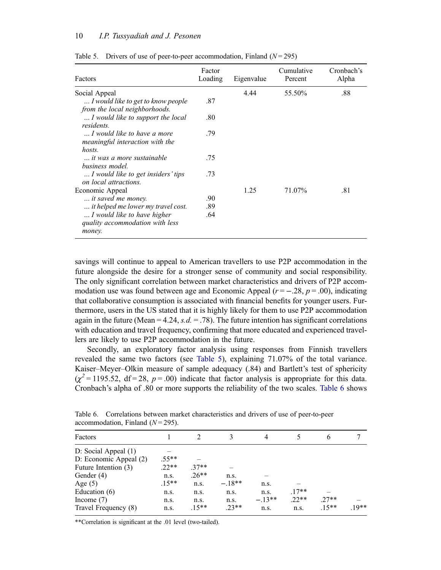| Factors                                                                  | Factor<br>Loading | Eigenvalue | Cumulative<br>Percent | Cronbach's<br>Alpha |
|--------------------------------------------------------------------------|-------------------|------------|-----------------------|---------------------|
| Social Appeal                                                            |                   | 4.44       | 55.50%                | .88                 |
| I would like to get to know people.<br>from the local neighborhoods.     | .87               |            |                       |                     |
| I would like to support the local<br><i>residents</i>                    | .80               |            |                       |                     |
| I would like to have a more<br>meaningful interaction with the<br>hosts. | .79               |            |                       |                     |
| it was a more sustainable<br>business model.                             | .75               |            |                       |                     |
| I would like to get insiders' tips<br>on local attractions.              | .73               |            |                       |                     |
| Economic Appeal                                                          |                   | 1.25       | 71.07%                | .81                 |
| it saved me money.                                                       | .90               |            |                       |                     |
| it helped me lower my travel cost.                                       | .89               |            |                       |                     |
| I would like to have higher<br>quality accommodation with less<br>money. | .64               |            |                       |                     |

Table 5. Drivers of use of peer-to-peer accommodation, Finland  $(N = 295)$ 

savings will continue to appeal to American travellers to use P2P accommodation in the future alongside the desire for a stronger sense of community and social responsibility. The only significant correlation between market characteristics and drivers of P2P accommodation use was found between age and Economic Appeal ( $r = -.28$ ,  $p = .00$ ), indicating that collaborative consumption is associated with financial benefits for younger users. Furthermore, users in the US stated that it is highly likely for them to use P2P accommodation again in the future (Mean = 4.24, s.d. = .78). The future intention has significant correlations with education and travel frequency, confirming that more educated and experienced travellers are likely to use P2P accommodation in the future.

Secondly, an exploratory factor analysis using responses from Finnish travellers revealed the same two factors (see Table 5), explaining 71.07% of the total variance. Kaiser–Meyer–Olkin measure of sample adequacy (.84) and Bartlett's test of sphericity  $(\chi^2 = 1195.52, df = 28, p = .00)$  indicate that factor analysis is appropriate for this data. Cronbach's alpha of .80 or more supports the reliability of the two scales. Table 6 shows

| Factors                |         |         |          | 4        |         | 6       |        |  |  |
|------------------------|---------|---------|----------|----------|---------|---------|--------|--|--|
| D: Social Appeal (1)   |         |         |          |          |         |         |        |  |  |
| D: Economic Appeal (2) | $.55**$ |         |          |          |         |         |        |  |  |
| Future Intention (3)   | $.22**$ | $.37**$ |          |          |         |         |        |  |  |
| Gender (4)             | n.s.    | $.26**$ | n.s.     |          |         |         |        |  |  |
| Age $(5)$              | $.15**$ | n.s.    | $-.18**$ | n.s.     |         |         |        |  |  |
| Education $(6)$        | n.s.    | n.s.    | n.s.     | n.s.     | $.17**$ |         |        |  |  |
| Income $(7)$           | n.s.    | n.s.    | n.s.     | $-.13**$ | $.22**$ | $.27**$ |        |  |  |
| Travel Frequency (8)   | n.s.    | $.15**$ | $.23**$  | n.s.     | n.s.    | $.15**$ | $19**$ |  |  |

Table 6. Correlations between market characteristics and drivers of use of peer-to-peer accommodation, Finland  $(N = 295)$ .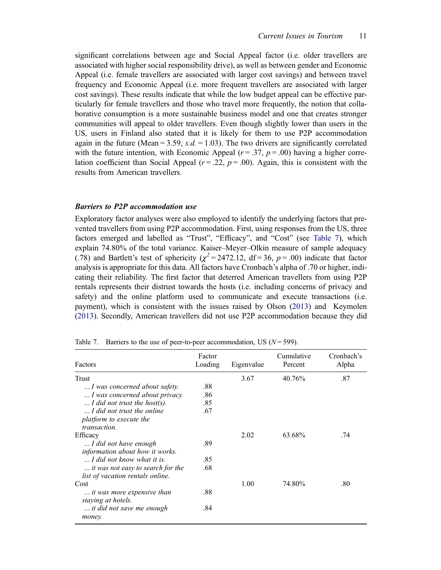significant correlations between age and Social Appeal factor (i.e. older travellers are associated with higher social responsibility drive), as well as between gender and Economic Appeal (i.e. female travellers are associated with larger cost savings) and between travel frequency and Economic Appeal (i.e. more frequent travellers are associated with larger cost savings). These results indicate that while the low budget appeal can be effective particularly for female travellers and those who travel more frequently, the notion that collaborative consumption is a more sustainable business model and one that creates stronger communities will appeal to older travellers. Even though slightly lower than users in the US, users in Finland also stated that it is likely for them to use P2P accommodation again in the future (Mean = 3.59, s.d. = 1.03). The two drivers are significantly correlated with the future intention, with Economic Appeal  $(r=.37, p=.00)$  having a higher correlation coefficient than Social Appeal ( $r = .22$ ,  $p = .00$ ). Again, this is consistent with the results from American travellers.

# Barriers to P2P accommodation use

Exploratory factor analyses were also employed to identify the underlying factors that prevented travellers from using P2P accommodation. First, using responses from the US, three factors emerged and labelled as "Trust", "Efficacy", and "Cost" (see Table 7), which explain 74.80% of the total variance. Kaiser–Meyer–Olkin measure of sample adequacy (.78) and Bartlett's test of sphericity ( $\chi^2$  = 2472.12, df = 36, p = .00) indicate that factor analysis is appropriate for this data. All factors have Cronbach's alpha of .70 or higher, indicating their reliability. The first factor that deterred American travellers from using P2P rentals represents their distrust towards the hosts (i.e. including concerns of privacy and safety) and the online platform used to communicate and execute transactions (i.e. payment), which is consistent with the issues raised by Olson (2013) and Keymolen (2013). Secondly, American travellers did not use P2P accommodation because they did

| Factors                                                               | Factor<br>Loading | Eigenvalue | Cumulative<br>Percent | Cronbach's<br>Alpha |
|-----------------------------------------------------------------------|-------------------|------------|-----------------------|---------------------|
| Trust                                                                 |                   | 3.67       | 40.76%                | .87                 |
| I was concerned about safety.                                         | .88               |            |                       |                     |
| I was concerned about privacy.                                        | .86               |            |                       |                     |
| $\ldots I$ did not trust the host(s).                                 | .85               |            |                       |                     |
| I did not trust the online                                            | .67               |            |                       |                     |
| platform to execute the<br>transaction.                               |                   |            |                       |                     |
| Efficacy                                                              |                   | 2.02       | 63.68%                | .74                 |
| I did not have enough<br>information about how it works.              | .89               |            |                       |                     |
| I did not know what it is.                                            | .85               |            |                       |                     |
| it was not easy to search for the<br>list of vacation rentals online. | .68               |            |                       |                     |
| Cost                                                                  |                   | 1.00       | 74.80%                | .80                 |
| it was more expensive than<br>staying at hotels.                      | .88               |            |                       |                     |
| it did not save me enough<br>money.                                   | .84               |            |                       |                     |

Table 7. Barriers to the use of peer-to-peer accommodation, US  $(N = 599)$ .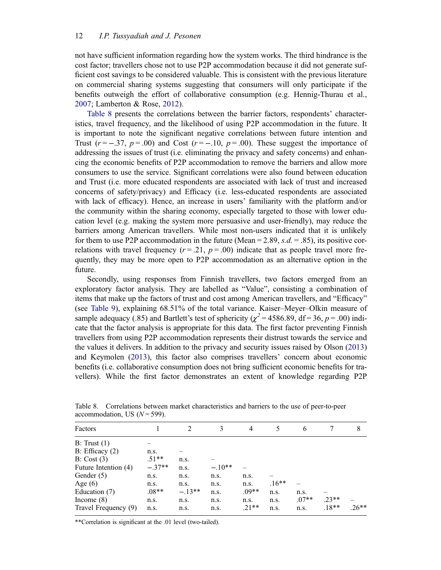not have sufficient information regarding how the system works. The third hindrance is the cost factor; travellers chose not to use P2P accommodation because it did not generate sufficient cost savings to be considered valuable. This is consistent with the previous literature on commercial sharing systems suggesting that consumers will only participate if the benefits outweigh the effort of collaborative consumption (e.g. Hennig-Thurau et al., 2007; Lamberton & Rose, 2012).

Table 8 presents the correlations between the barrier factors, respondents' characteristics, travel frequency, and the likelihood of using P2P accommodation in the future. It is important to note the significant negative correlations between future intention and Trust  $(r = -.37, p = .00)$  and Cost  $(r = -.10, p = .00)$ . These suggest the importance of addressing the issues of trust (i.e. eliminating the privacy and safety concerns) and enhancing the economic benefits of P2P accommodation to remove the barriers and allow more consumers to use the service. Significant correlations were also found between education and Trust (i.e. more educated respondents are associated with lack of trust and increased concerns of safety/privacy) and Efficacy (i.e. less-educated respondents are associated with lack of efficacy). Hence, an increase in users' familiarity with the platform and/or the community within the sharing economy, especially targeted to those with lower education level (e.g. making the system more persuasive and user-friendly), may reduce the barriers among American travellers. While most non-users indicated that it is unlikely for them to use P2P accommodation in the future (Mean = 2.89, s.d. = .85), its positive correlations with travel frequency ( $r = .21$ ,  $p = .00$ ) indicate that as people travel more frequently, they may be more open to P2P accommodation as an alternative option in the future.

Secondly, using responses from Finnish travellers, two factors emerged from an exploratory factor analysis. They are labelled as "Value", consisting a combination of items that make up the factors of trust and cost among American travellers, and "Efficacy" (see Table 9), explaining 68.51% of the total variance. Kaiser–Meyer–Olkin measure of sample adequacy (.85) and Bartlett's test of sphericity ( $\chi^2$  = 4586.89, df = 36, p = .00) indicate that the factor analysis is appropriate for this data. The first factor preventing Finnish travellers from using P2P accommodation represents their distrust towards the service and the values it delivers. In addition to the privacy and security issues raised by Olson (2013) and Keymolen (2013), this factor also comprises travellers' concern about economic benefits (i.e. collaborative consumption does not bring sufficient economic benefits for travellers). While the first factor demonstrates an extent of knowledge regarding P2P

| Factors                            |                 | $\mathfrak{D}_{\mathfrak{p}}$ | 3        | $\overline{4}$ | 5       | 6       |         | 8       |
|------------------------------------|-----------------|-------------------------------|----------|----------------|---------|---------|---------|---------|
| B: Trust(1)                        |                 |                               |          |                |         |         |         |         |
| $B$ : Efficacy $(2)$<br>B: Cost(3) | n.s.<br>$.51**$ | n.s.                          |          |                |         |         |         |         |
| Future Intention (4)               | $-.37**$        | n.s.                          | $-.10**$ |                |         |         |         |         |
| Gender (5)                         | n.s.            | n.s.                          | n.s.     | n.s.           |         |         |         |         |
| Age $(6)$                          | n.s.            | n.s.                          | n.s.     | n.s.           | $.16**$ |         |         |         |
| Education (7)                      | $.08**$         | $-.13**$                      | n.s.     | $.09**$        | n.s.    | n.s.    |         |         |
| Income $(8)$                       | n.s.            | n.s.                          | n.s.     | n.s.           | n.s.    | $.07**$ | $.23**$ |         |
| Travel Frequency (9)               | n.s.            | n.s.                          | n.s.     | $.21**$        | n.s.    | n.s.    | $.18**$ | $.26**$ |

Table 8. Correlations between market characteristics and barriers to the use of peer-to-peer accommodation, US  $(N = 599)$ .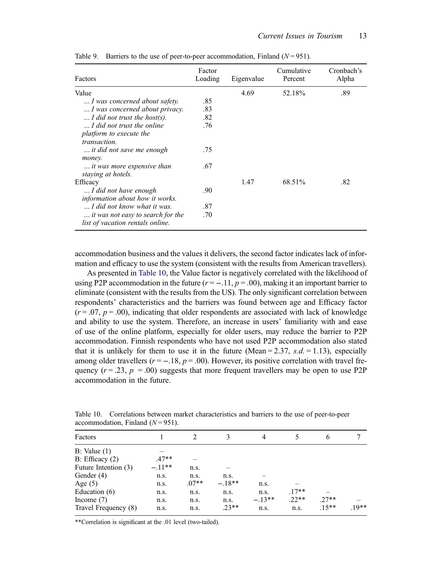| Factors                                                               | Factor<br>Loading | Eigenvalue | Cumulative<br>Percent | Cronbach's<br>Alpha |
|-----------------------------------------------------------------------|-------------------|------------|-----------------------|---------------------|
| Value                                                                 |                   | 4.69       | 52.18%                | .89                 |
| I was concerned about safety.                                         | .85               |            |                       |                     |
| I was concerned about privacy.                                        | .83               |            |                       |                     |
| I did not trust the host(s).                                          | .82               |            |                       |                     |
| I did not trust the online                                            | .76               |            |                       |                     |
| platform to execute the                                               |                   |            |                       |                     |
| <i>transaction.</i><br>it did not save me enough                      | .75               |            |                       |                     |
| money.                                                                |                   |            |                       |                     |
| it was more expensive than<br>staying at hotels.                      | .67               |            |                       |                     |
| Efficacy                                                              |                   | 1.47       | 68.51%                | .82                 |
| I did not have enough<br>information about how it works.              | .90               |            |                       |                     |
| I did not know what it was.                                           | .87               |            |                       |                     |
| it was not easy to search for the<br>list of vacation rentals online. | .70               |            |                       |                     |

Table 9. Barriers to the use of peer-to-peer accommodation, Finland ( $N = 951$ ).

accommodation business and the values it delivers, the second factor indicates lack of information and efficacy to use the system (consistent with the results from American travellers).

As presented in Table 10, the Value factor is negatively correlated with the likelihood of using P2P accommodation in the future  $(r = -11, p = .00)$ , making it an important barrier to eliminate (consistent with the results from the US). The only significant correlation between respondents' characteristics and the barriers was found between age and Efficacy factor  $(r = .07, p = .00)$ , indicating that older respondents are associated with lack of knowledge and ability to use the system. Therefore, an increase in users' familiarity with and ease of use of the online platform, especially for older users, may reduce the barrier to P2P accommodation. Finnish respondents who have not used P2P accommodation also stated that it is unlikely for them to use it in the future (Mean = 2.37, s.d. = 1.13), especially among older travellers ( $r = -18$ ,  $p = 0.00$ ). However, its positive correlation with travel frequency  $(r = .23, p = .00)$  suggests that more frequent travellers may be open to use P2P accommodation in the future.

|          | $\mathfrak{D}$ |          | 4        |         | 6       |         |
|----------|----------------|----------|----------|---------|---------|---------|
|          |                |          |          |         |         |         |
| $.47**$  |                |          |          |         |         |         |
| $-.11**$ | n.s.           |          |          |         |         |         |
| n.s.     | n.s.           | n.s.     |          |         |         |         |
| n.s.     | $.07**$        | $-.18**$ | n.s.     |         |         |         |
| n.s.     | n.s.           | n.s.     | n.s.     | $.17**$ |         |         |
| n.s.     | n.s.           | n.s.     | $-.13**$ | $.22**$ | $.27**$ |         |
| n.s.     | n.s.           | $.23**$  | n.s.     | n.s.    | $.15**$ | $.19**$ |
|          |                |          |          |         |         |         |

Table 10. Correlations between market characteristics and barriers to the use of peer-to-peer accommodation, Finland  $(N = 951)$ .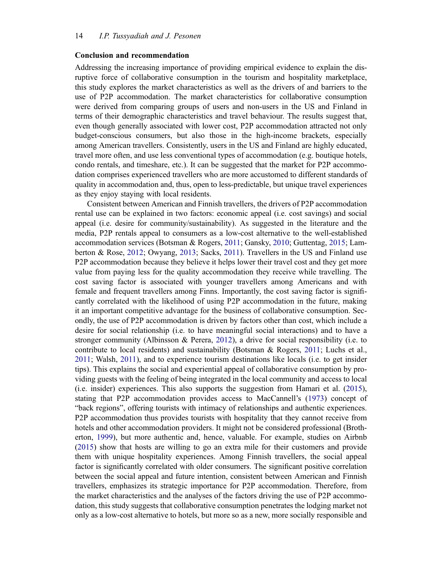### Conclusion and recommendation

Addressing the increasing importance of providing empirical evidence to explain the disruptive force of collaborative consumption in the tourism and hospitality marketplace, this study explores the market characteristics as well as the drivers of and barriers to the use of P2P accommodation. The market characteristics for collaborative consumption were derived from comparing groups of users and non-users in the US and Finland in terms of their demographic characteristics and travel behaviour. The results suggest that, even though generally associated with lower cost, P2P accommodation attracted not only budget-conscious consumers, but also those in the high-income brackets, especially among American travellers. Consistently, users in the US and Finland are highly educated, travel more often, and use less conventional types of accommodation (e.g. boutique hotels, condo rentals, and timeshare, etc.). It can be suggested that the market for P2P accommodation comprises experienced travellers who are more accustomed to different standards of quality in accommodation and, thus, open to less-predictable, but unique travel experiences as they enjoy staying with local residents.

Consistent between American and Finnish travellers, the drivers of P2P accommodation rental use can be explained in two factors: economic appeal (i.e. cost savings) and social appeal (i.e. desire for community/sustainability). As suggested in the literature and the media, P2P rentals appeal to consumers as a low-cost alternative to the well-established accommodation services (Botsman & Rogers, 2011; Gansky, 2010; Guttentag, 2015; Lamberton & Rose, 2012; Owyang, 2013; Sacks, 2011). Travellers in the US and Finland use P2P accommodation because they believe it helps lower their travel cost and they get more value from paying less for the quality accommodation they receive while travelling. The cost saving factor is associated with younger travellers among Americans and with female and frequent travellers among Finns. Importantly, the cost saving factor is significantly correlated with the likelihood of using P2P accommodation in the future, making it an important competitive advantage for the business of collaborative consumption. Secondly, the use of P2P accommodation is driven by factors other than cost, which include a desire for social relationship (i.e. to have meaningful social interactions) and to have a stronger community (Albinsson & Perera, 2012), a drive for social responsibility (i.e. to contribute to local residents) and sustainability (Botsman & Rogers, 2011; Luchs et al., 2011; Walsh, 2011), and to experience tourism destinations like locals (i.e. to get insider tips). This explains the social and experiential appeal of collaborative consumption by providing guests with the feeling of being integrated in the local community and access to local (i.e. insider) experiences. This also supports the suggestion from Hamari et al. (2015), stating that P2P accommodation provides access to MacCannell's (1973) concept of "back regions", offering tourists with intimacy of relationships and authentic experiences. P2P accommodation thus provides tourists with hospitality that they cannot receive from hotels and other accommodation providers. It might not be considered professional (Brotherton, 1999), but more authentic and, hence, valuable. For example, studies on Airbnb (2015) show that hosts are willing to go an extra mile for their customers and provide them with unique hospitality experiences. Among Finnish travellers, the social appeal factor is significantly correlated with older consumers. The significant positive correlation between the social appeal and future intention, consistent between American and Finnish travellers, emphasizes its strategic importance for P2P accommodation. Therefore, from the market characteristics and the analyses of the factors driving the use of P2P accommodation, this study suggests that collaborative consumption penetrates the lodging market not only as a low-cost alternative to hotels, but more so as a new, more socially responsible and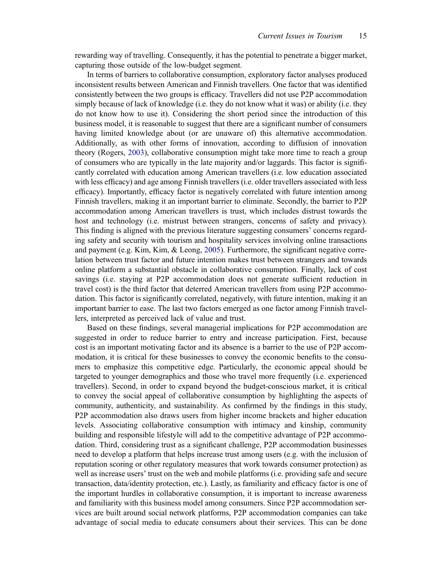rewarding way of travelling. Consequently, it has the potential to penetrate a bigger market, capturing those outside of the low-budget segment.

In terms of barriers to collaborative consumption, exploratory factor analyses produced inconsistent results between American and Finnish travellers. One factor that was identified consistently between the two groups is efficacy. Travellers did not use P2P accommodation simply because of lack of knowledge (i.e. they do not know what it was) or ability (i.e. they do not know how to use it). Considering the short period since the introduction of this business model, it is reasonable to suggest that there are a significant number of consumers having limited knowledge about (or are unaware of) this alternative accommodation. Additionally, as with other forms of innovation, according to diffusion of innovation theory (Rogers, 2003), collaborative consumption might take more time to reach a group of consumers who are typically in the late majority and/or laggards. This factor is significantly correlated with education among American travellers (i.e. low education associated with less efficacy) and age among Finnish travellers (i.e. older travellers associated with less efficacy). Importantly, efficacy factor is negatively correlated with future intention among Finnish travellers, making it an important barrier to eliminate. Secondly, the barrier to P2P accommodation among American travellers is trust, which includes distrust towards the host and technology (i.e. mistrust between strangers, concerns of safety and privacy). This finding is aligned with the previous literature suggesting consumers' concerns regarding safety and security with tourism and hospitality services involving online transactions and payment (e.g. Kim, Kim, & Leong, 2005). Furthermore, the significant negative correlation between trust factor and future intention makes trust between strangers and towards online platform a substantial obstacle in collaborative consumption. Finally, lack of cost savings (i.e. staying at P2P accommodation does not generate sufficient reduction in travel cost) is the third factor that deterred American travellers from using P2P accommodation. This factor is significantly correlated, negatively, with future intention, making it an important barrier to ease. The last two factors emerged as one factor among Finnish travellers, interpreted as perceived lack of value and trust.

Based on these findings, several managerial implications for P2P accommodation are suggested in order to reduce barrier to entry and increase participation. First, because cost is an important motivating factor and its absence is a barrier to the use of P2P accommodation, it is critical for these businesses to convey the economic benefits to the consumers to emphasize this competitive edge. Particularly, the economic appeal should be targeted to younger demographics and those who travel more frequently (i.e. experienced travellers). Second, in order to expand beyond the budget-conscious market, it is critical to convey the social appeal of collaborative consumption by highlighting the aspects of community, authenticity, and sustainability. As confirmed by the findings in this study, P2P accommodation also draws users from higher income brackets and higher education levels. Associating collaborative consumption with intimacy and kinship, community building and responsible lifestyle will add to the competitive advantage of P2P accommodation. Third, considering trust as a significant challenge, P2P accommodation businesses need to develop a platform that helps increase trust among users (e.g. with the inclusion of reputation scoring or other regulatory measures that work towards consumer protection) as well as increase users' trust on the web and mobile platforms (i.e. providing safe and secure transaction, data/identity protection, etc.). Lastly, as familiarity and efficacy factor is one of the important hurdles in collaborative consumption, it is important to increase awareness and familiarity with this business model among consumers. Since P2P accommodation services are built around social network platforms, P2P accommodation companies can take advantage of social media to educate consumers about their services. This can be done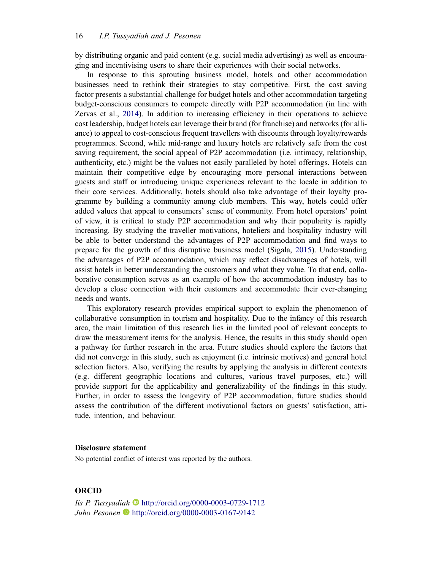by distributing organic and paid content (e.g. social media advertising) as well as encouraging and incentivising users to share their experiences with their social networks.

In response to this sprouting business model, hotels and other accommodation businesses need to rethink their strategies to stay competitive. First, the cost saving factor presents a substantial challenge for budget hotels and other accommodation targeting budget-conscious consumers to compete directly with P2P accommodation (in line with Zervas et al., 2014). In addition to increasing efficiency in their operations to achieve cost leadership, budget hotels can leverage their brand (for franchise) and networks (for alliance) to appeal to cost-conscious frequent travellers with discounts through loyalty/rewards programmes. Second, while mid-range and luxury hotels are relatively safe from the cost saving requirement, the social appeal of P2P accommodation (i.e. intimacy, relationship, authenticity, etc.) might be the values not easily paralleled by hotel offerings. Hotels can maintain their competitive edge by encouraging more personal interactions between guests and staff or introducing unique experiences relevant to the locale in addition to their core services. Additionally, hotels should also take advantage of their loyalty programme by building a community among club members. This way, hotels could offer added values that appeal to consumers' sense of community. From hotel operators' point of view, it is critical to study P2P accommodation and why their popularity is rapidly increasing. By studying the traveller motivations, hoteliers and hospitality industry will be able to better understand the advantages of P2P accommodation and find ways to prepare for the growth of this disruptive business model (Sigala, 2015). Understanding the advantages of P2P accommodation, which may reflect disadvantages of hotels, will assist hotels in better understanding the customers and what they value. To that end, collaborative consumption serves as an example of how the accommodation industry has to develop a close connection with their customers and accommodate their ever-changing needs and wants.

This exploratory research provides empirical support to explain the phenomenon of collaborative consumption in tourism and hospitality. Due to the infancy of this research area, the main limitation of this research lies in the limited pool of relevant concepts to draw the measurement items for the analysis. Hence, the results in this study should open a pathway for further research in the area. Future studies should explore the factors that did not converge in this study, such as enjoyment (i.e. intrinsic motives) and general hotel selection factors. Also, verifying the results by applying the analysis in different contexts (e.g. different geographic locations and cultures, various travel purposes, etc.) will provide support for the applicability and generalizability of the findings in this study. Further, in order to assess the longevity of P2P accommodation, future studies should assess the contribution of the different motivational factors on guests' satisfaction, attitude, intention, and behaviour.

### Disclosure statement

No potential conflict of interest was reported by the authors.

# **ORCID**

Iis P. Tussyadiah  $\bullet$  http://orcid.org/0000-0003-0729-1712 Juho Pesonen http://orcid.org/0000-0003-0167-9142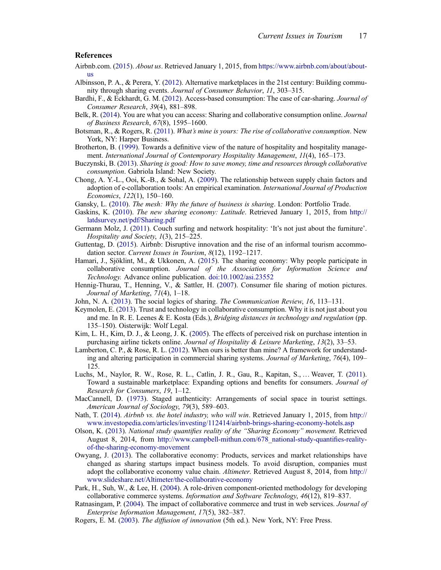### References

- Airbnb.com. (2015). About us. Retrieved January 1, 2015, from https://www.airbnb.com/about/aboutus
- Albinsson, P. A., & Perera, Y. (2012). Alternative marketplaces in the 21st century: Building community through sharing events. Journal of Consumer Behavior, 11, 303–315.
- Bardhi, F., & Eckhardt, G. M. (2012). Access-based consumption: The case of car-sharing. Journal of Consumer Research, 39(4), 881–898.
- Belk, R. (2014). You are what you can access: Sharing and collaborative consumption online. Journal of Business Research, 67(8), 1595–1600.
- Botsman, R., & Rogers, R. (2011). What's mine is yours: The rise of collaborative consumption. New York, NY: Harper Business.
- Brotherton, B. (1999). Towards a definitive view of the nature of hospitality and hospitality management. International Journal of Contemporary Hospitality Management, 11(4), 165–173.
- Buczynski, B. (2013). Sharing is good: How to save money, time and resources through collaborative consumption. Gabriola Island: New Society.
- Chong, A. Y.-L., Ooi, K.-B., & Sohal, A. (2009). The relationship between supply chain factors and adoption of e-collaboration tools: An empirical examination. International Journal of Production Economics, 122(1), 150–160.

Gansky, L. (2010). The mesh: Why the future of business is sharing. London: Portfolio Trade.

- Gaskins, K. (2010). The new sharing economy: Latitude. Retrieved January 1, 2015, from http:// latdsurvey.net/pdf/Sharing.pdf
- Germann Molz, J. (2011). Couch surfing and network hospitality: 'It's not just about the furniture'. Hospitality and Society, 1(3), 215–225.
- Guttentag, D. (2015). Airbnb: Disruptive innovation and the rise of an informal tourism accommodation sector. Current Issues in Tourism, 8(12), 1192–1217.
- Hamari, J., Sjöklint, M., & Ukkonen, A. (2015). The sharing economy: Why people participate in collaborative consumption. Journal of the Association for Information Science and Technology. Advance online publication. doi:10.1002/asi.23552
- Hennig-Thurau, T., Henning, V., & Sattler, H. (2007). Consumer file sharing of motion pictures. Journal of Marketing, 71(4), 1–18.
- John, N. A. (2013). The social logics of sharing. *The Communication Review*, 16, 113–131.
- Keymolen, E. (2013). Trust and technology in collaborative consumption. Why it is not just about you and me. In R. E. Leenes & E. Kosta (Eds.), *Bridging distances in technology and regulation* (pp. 135–150). Oisterwijk: Wolf Legal.
- Kim, L. H., Kim, D. J., & Leong, J. K. (2005). The effects of perceived risk on purchase intention in purchasing airline tickets online. Journal of Hospitality & Leisure Marketing, 13(2), 33–53.
- Lamberton, C. P., & Rose, R. L. (2012). When ours is better than mine? A framework for understanding and altering participation in commercial sharing systems. Journal of Marketing, 76(4), 109– 125.
- Luchs, M., Naylor, R. W., Rose, R. L., Catlin, J. R., Gau, R., Kapitan, S., … Weaver, T. (2011). Toward a sustainable marketplace: Expanding options and benefits for consumers. Journal of Research for Consumers, 19, 1–12.
- MacCannell, D. (1973). Staged authenticity: Arrangements of social space in tourist settings. American Journal of Sociology, 79(3), 589–603.
- Nath, T. (2014). Airbnb vs. the hotel industry, who will win. Retrieved January 1, 2015, from http:// www.investopedia.com/articles/investing/112414/airbnb-brings-sharing-economy-hotels.asp
- Olson, K. (2013). National study quantifies reality of the "Sharing Economy" movement. Retrieved August 8, 2014, from http://www.campbell-mithun.com/678\_national-study-quantifies-realityof-the-sharing-economy-movement
- Owyang, J. (2013). The collaborative economy: Products, services and market relationships have changed as sharing startups impact business models. To avoid disruption, companies must adopt the collaborative economy value chain. Altimeter. Retrieved August 8, 2014, from http:// www.slideshare.net/Altimeter/the-collaborative-economy
- Park, H., Suh, W., & Lee, H. (2004). A role-driven component-oriented methodology for developing collaborative commerce systems. Information and Software Technology, 46(12), 819–837.
- Ratnasingam, P. (2004). The impact of collaborative commerce and trust in web services. Journal of Enterprise Information Management, 17(5), 382–387.
- Rogers, E. M. (2003). The diffusion of innovation (5th ed.). New York, NY: Free Press.